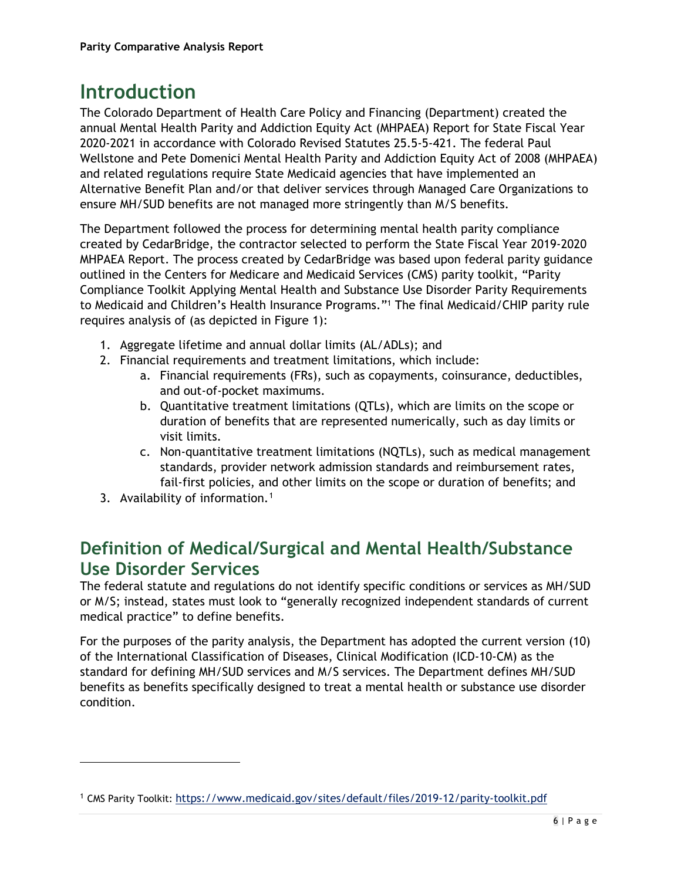# **Introduction**

The Colorado Department of Health Care Policy and Financing (Department) created the annual Mental Health Parity and Addiction Equity Act (MHPAEA) Report for State Fiscal Year 2020-2021 in accordance with Colorado Revised Statutes 25.5-5-421. The federal Paul Wellstone and Pete Domenici Mental Health Parity and Addiction Equity Act of 2008 (MHPAEA) and related regulations require State Medicaid agencies that have implemented an Alternative Benefit Plan and/or that deliver services through Managed Care Organizations to ensure MH/SUD benefits are not managed more stringently than M/S benefits.

The Department followed the process for determining mental health parity compliance created by CedarBridge, the contractor selected to perform the State Fiscal Year 2019-2020 MHPAEA Report. The process created by CedarBridge was based upon federal parity guidance outlined in the Centers for Medicare and Medicaid Services (CMS) parity toolkit, "Parity Compliance Toolkit Applying Mental Health and Substance Use Disorder Parity Requirements to Medicaid and Children's Health Insurance Programs."1 The final Medicaid/CHIP parity rule requires analysis of (as depicted in Figure 1):

- 1. Aggregate lifetime and annual dollar limits (AL/ADLs); and
- 2. Financial requirements and treatment limitations, which include:
	- a. Financial requirements (FRs), such as copayments, coinsurance, deductibles, and out-of-pocket maximums.
	- b. Quantitative treatment limitations (QTLs), which are limits on the scope or duration of benefits that are represented numerically, such as day limits or visit limits.
	- c. Non-quantitative treatment limitations (NQTLs), such as medical management standards, provider network admission standards and reimbursement rates, fail-first policies, and other limits on the scope or duration of benefits; and
- 3. Availability of information.<sup>[1](#page-0-0)</sup>

## **Definition of Medical/Surgical and Mental Health/Substance Use Disorder Services**

The federal statute and regulations do not identify specific conditions or services as MH/SUD or M/S; instead, states must look to "generally recognized independent standards of current medical practice" to define benefits.

For the purposes of the parity analysis, the Department has adopted the current version (10) of the International Classification of Diseases, Clinical Modification (ICD-10-CM) as the standard for defining MH/SUD services and M/S services. The Department defines MH/SUD benefits as benefits specifically designed to treat a mental health or substance use disorder condition.

<span id="page-0-0"></span><sup>1</sup> CMS Parity Toolkit: https://www.medicaid.gov/sites/default/files/2019-12/parity-toolkit.pdf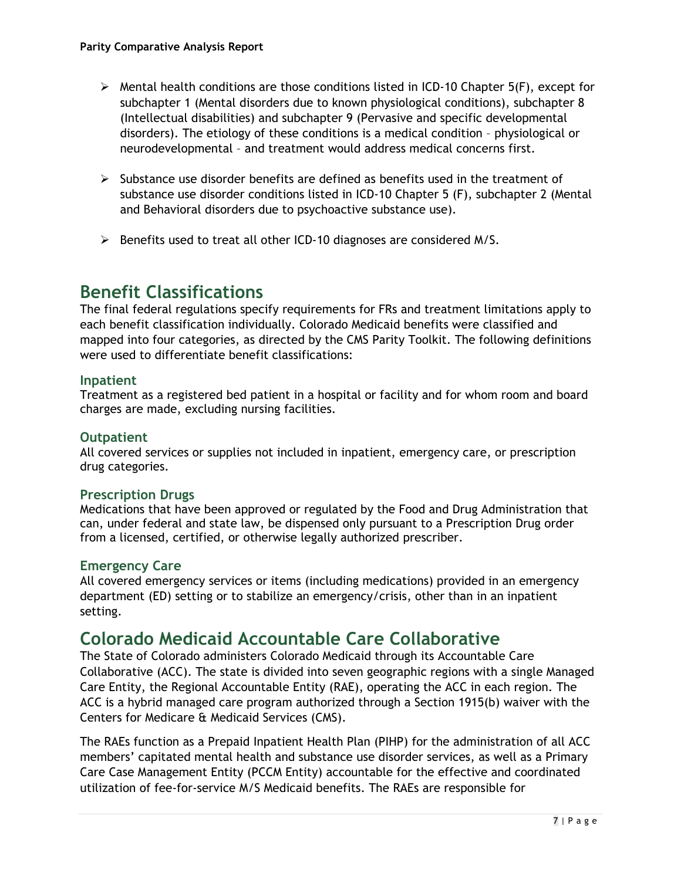- $\triangleright$  Mental health conditions are those conditions listed in ICD-10 Chapter 5(F), except for subchapter 1 (Mental disorders due to known physiological conditions), subchapter 8 (Intellectual disabilities) and subchapter 9 (Pervasive and specific developmental disorders). The etiology of these conditions is a medical condition – physiological or neurodevelopmental – and treatment would address medical concerns first.
- $\triangleright$  Substance use disorder benefits are defined as benefits used in the treatment of substance use disorder conditions listed in ICD-10 Chapter 5 (F), subchapter 2 (Mental and Behavioral disorders due to psychoactive substance use).
- $\triangleright$  Benefits used to treat all other ICD-10 diagnoses are considered M/S.

#### **Benefit Classifications**

The final federal regulations specify requirements for FRs and treatment limitations apply to each benefit classification individually. Colorado Medicaid benefits were classified and mapped into four categories, as directed by the CMS Parity Toolkit. The following definitions were used to differentiate benefit classifications:

#### **Inpatient**

Treatment as a registered bed patient in a hospital or facility and for whom room and board charges are made, excluding nursing facilities.

#### **Outpatient**

All covered services or supplies not included in inpatient, emergency care, or prescription drug categories.

#### **Prescription Drugs**

Medications that have been approved or regulated by the Food and Drug Administration that can, under federal and state law, be dispensed only pursuant to a Prescription Drug order from a licensed, certified, or otherwise legally authorized prescriber.

#### **Emergency Care**

All covered emergency services or items (including medications) provided in an emergency department (ED) setting or to stabilize an emergency/crisis, other than in an inpatient setting.

### **Colorado Medicaid Accountable Care Collaborative**

The State of Colorado administers Colorado Medicaid through its Accountable Care Collaborative (ACC). The state is divided into seven geographic regions with a single Managed Care Entity, the Regional Accountable Entity (RAE), operating the ACC in each region. The ACC is a hybrid managed care program authorized through a Section 1915(b) waiver with the Centers for Medicare & Medicaid Services (CMS).

The RAEs function as a Prepaid Inpatient Health Plan (PIHP) for the administration of all ACC members' capitated mental health and substance use disorder services, as well as a Primary Care Case Management Entity (PCCM Entity) accountable for the effective and coordinated utilization of fee-for-service M/S Medicaid benefits. The RAEs are responsible for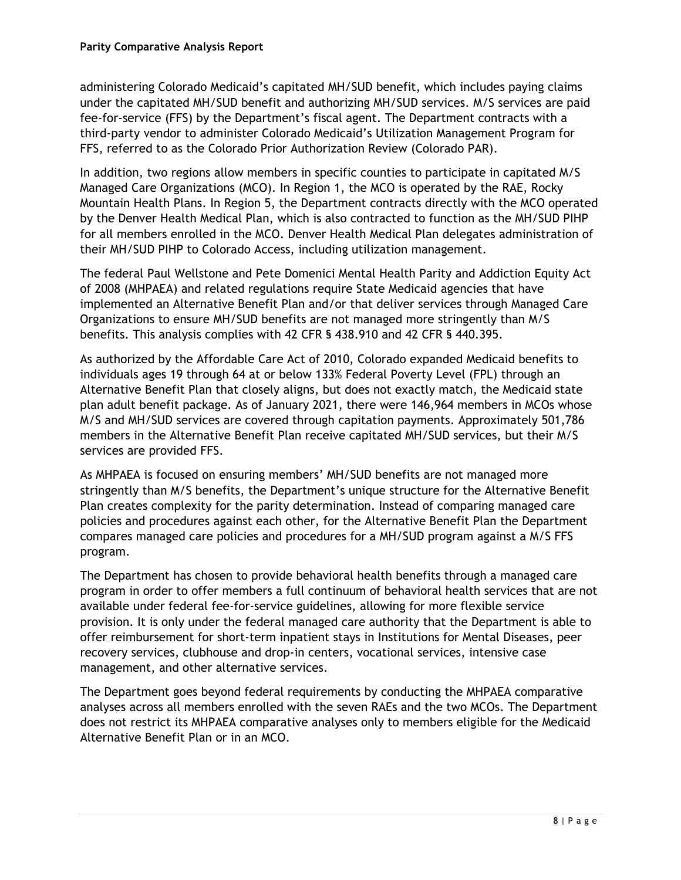administering Colorado Medicaid's capitated MH/SUD benefit, which includes paying claims under the capitated MH/SUD benefit and authorizing MH/SUD services. M/S services are paid fee-for-service (FFS) by the Department's fiscal agent. The Department contracts with a third-party vendor to administer Colorado Medicaid's Utilization Management Program for FFS, referred to as the Colorado Prior Authorization Review (Colorado PAR).

In addition, two regions allow members in specific counties to participate in capitated M/S Managed Care Organizations (MCO). In Region 1, the MCO is operated by the RAE, Rocky Mountain Health Plans. In Region 5, the Department contracts directly with the MCO operated by the Denver Health Medical Plan, which is also contracted to function as the MH/SUD PIHP for all members enrolled in the MCO*.* Denver Health Medical Plan delegates administration of their MH/SUD PIHP to Colorado Access, including utilization management.

The federal Paul Wellstone and Pete Domenici Mental Health Parity and Addiction Equity Act of 2008 (MHPAEA) and related regulations require State Medicaid agencies that have implemented an Alternative Benefit Plan and/or that deliver services through Managed Care Organizations to ensure MH/SUD benefits are not managed more stringently than M/S benefits. This analysis complies with 42 CFR § 438.910 and 42 CFR § 440.395.

As authorized by the Affordable Care Act of 2010, Colorado expanded Medicaid benefits to individuals ages 19 through 64 at or below 133% Federal Poverty Level (FPL) through an Alternative Benefit Plan that closely aligns, but does not exactly match, the Medicaid state plan adult benefit package. As of January 2021, there were 146,964 members in MCOs whose M/S and MH/SUD services are covered through capitation payments. Approximately 501,786 members in the Alternative Benefit Plan receive capitated MH/SUD services, but their M/S services are provided FFS.

As MHPAEA is focused on ensuring members' MH/SUD benefits are not managed more stringently than M/S benefits, the Department's unique structure for the Alternative Benefit Plan creates complexity for the parity determination. Instead of comparing managed care policies and procedures against each other, for the Alternative Benefit Plan the Department compares managed care policies and procedures for a MH/SUD program against a M/S FFS program.

The Department has chosen to provide behavioral health benefits through a managed care program in order to offer members a full continuum of behavioral health services that are not available under federal fee-for-service guidelines, allowing for more flexible service provision. It is only under the federal managed care authority that the Department is able to offer reimbursement for short-term inpatient stays in Institutions for Mental Diseases, peer recovery services, clubhouse and drop-in centers, vocational services, intensive case management, and other alternative services.

The Department goes beyond federal requirements by conducting the MHPAEA comparative analyses across all members enrolled with the seven RAEs and the two MCOs. The Department does not restrict its MHPAEA comparative analyses only to members eligible for the Medicaid Alternative Benefit Plan or in an MCO.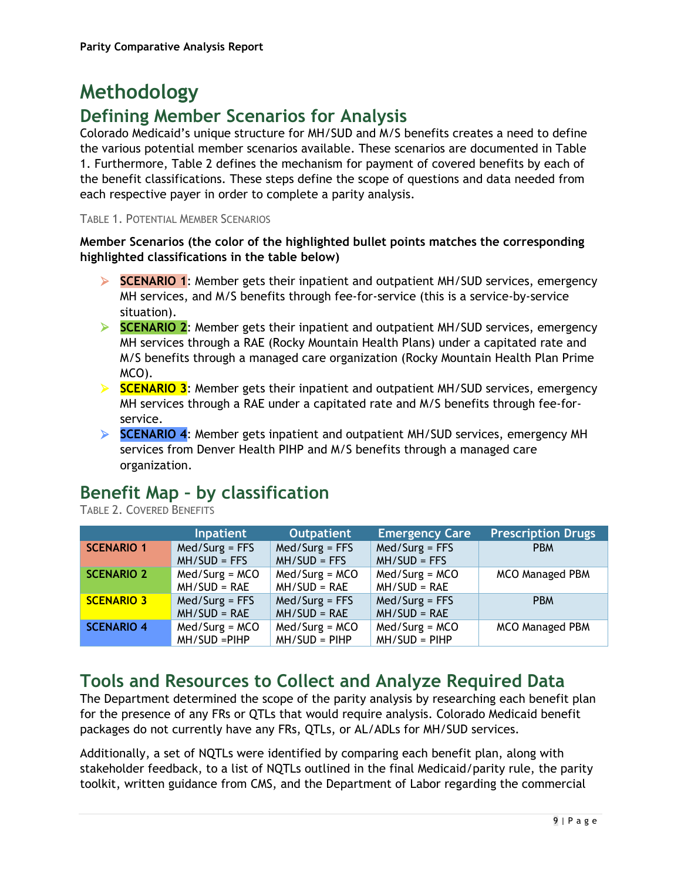# **Methodology**

## **Defining Member Scenarios for Analysis**

Colorado Medicaid's unique structure for MH/SUD and M/S benefits creates a need to define the various potential member scenarios available. These scenarios are documented in Table 1. Furthermore, Table 2 defines the mechanism for payment of covered benefits by each of the benefit classifications. These steps define the scope of questions and data needed from each respective payer in order to complete a parity analysis.

#### TABLE 1. POTENTIAL MEMBER SCENARIOS

#### **Member Scenarios (the color of the highlighted bullet points matches the corresponding highlighted classifications in the table below)**

- **SCENARIO 1**: Member gets their inpatient and outpatient MH/SUD services, emergency MH services, and M/S benefits through fee-for-service (this is a service-by-service situation).
- **SCENARIO 2**: Member gets their inpatient and outpatient MH/SUD services, emergency MH services through a RAE (Rocky Mountain Health Plans) under a capitated rate and M/S benefits through a managed care organization (Rocky Mountain Health Plan Prime MCO).
- **SCENARIO 3**: Member gets their inpatient and outpatient MH/SUD services, emergency MH services through a RAE under a capitated rate and M/S benefits through fee-forservice.
- **SCENARIO 4**: Member gets inpatient and outpatient MH/SUD services, emergency MH services from Denver Health PIHP and M/S benefits through a managed care organization.

## **Benefit Map – by classification**

TABLE 2. COVERED BENEFITS

|                   | <b>Inpatient</b>                    | <b>Outpatient</b>                   | <b>Emergency Care</b>              | <b>Prescription Drugs</b> |
|-------------------|-------------------------------------|-------------------------------------|------------------------------------|---------------------------|
| <b>SCENARIO 1</b> | $Med/Surg = FFS$<br>$MH/SUD = FFS$  | $Med/Surg = FFS$<br>$MH/SUD = FFS$  | $Med/Surg = FFS$<br>$MH/SUD = FFS$ | <b>PBM</b>                |
| <b>SCENARIO 2</b> | $Med/Surg = MCO$<br>$MH/SUD = RAE$  | $Med/Surg = MCO$<br>$MH/SUD = RAE$  | $Med/Surg = MCO$<br>$MH/SUB = RAE$ | <b>MCO Managed PBM</b>    |
| <b>SCENARIO 3</b> | $Med/Surg = FFS$<br>$MH/SUD = RAE$  | $Med/Surg = FFS$<br>$MH/SUD = RAE$  | $Med/Surg = FFS$<br>$MH/SUB = RAE$ | <b>PBM</b>                |
| <b>SCENARIO 4</b> | $Med/Surg = MCO$<br>$MH/SUD = PHPP$ | $Med/Surg = MCO$<br>$MH/SUD = PIHP$ | $Med/Surg = MCO$<br>$MH/SUD = PHP$ | <b>MCO Managed PBM</b>    |

## **Tools and Resources to Collect and Analyze Required Data**

The Department determined the scope of the parity analysis by researching each benefit plan for the presence of any FRs or QTLs that would require analysis. Colorado Medicaid benefit packages do not currently have any FRs, QTLs, or AL/ADLs for MH/SUD services.

Additionally, a set of NQTLs were identified by comparing each benefit plan, along with stakeholder feedback, to a list of NQTLs outlined in the final Medicaid/parity rule, the parity toolkit, written guidance from CMS, and the Department of Labor regarding the commercial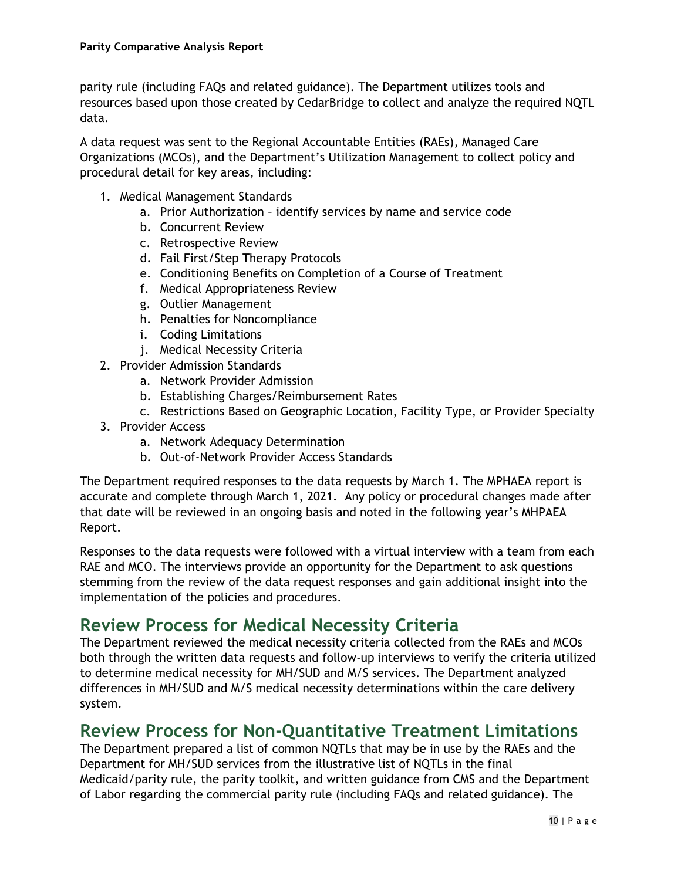parity rule (including FAQs and related guidance). The Department utilizes tools and resources based upon those created by CedarBridge to collect and analyze the required NQTL data.

A data request was sent to the Regional Accountable Entities (RAEs), Managed Care Organizations (MCOs), and the Department's Utilization Management to collect policy and procedural detail for key areas, including:

- 1. Medical Management Standards
	- a. Prior Authorization identify services by name and service code
	- b. Concurrent Review
	- c. Retrospective Review
	- d. Fail First/Step Therapy Protocols
	- e. Conditioning Benefits on Completion of a Course of Treatment
	- f. Medical Appropriateness Review
	- g. Outlier Management
	- h. Penalties for Noncompliance
	- i. Coding Limitations
	- j. Medical Necessity Criteria
- 2. Provider Admission Standards
	- a. Network Provider Admission
	- b. Establishing Charges/Reimbursement Rates
	- c. Restrictions Based on Geographic Location, Facility Type, or Provider Specialty
- 3. Provider Access
	- a. Network Adequacy Determination
	- b. Out-of-Network Provider Access Standards

The Department required responses to the data requests by March 1. The MPHAEA report is accurate and complete through March 1, 2021. Any policy or procedural changes made after that date will be reviewed in an ongoing basis and noted in the following year's MHPAEA Report.

Responses to the data requests were followed with a virtual interview with a team from each RAE and MCO. The interviews provide an opportunity for the Department to ask questions stemming from the review of the data request responses and gain additional insight into the implementation of the policies and procedures.

#### **Review Process for Medical Necessity Criteria**

The Department reviewed the medical necessity criteria collected from the RAEs and MCOs both through the written data requests and follow-up interviews to verify the criteria utilized to determine medical necessity for MH/SUD and M/S services. The Department analyzed differences in MH/SUD and M/S medical necessity determinations within the care delivery system.

#### **Review Process for Non-Quantitative Treatment Limitations**

The Department prepared a list of common NQTLs that may be in use by the RAEs and the Department for MH/SUD services from the illustrative list of NQTLs in the final Medicaid/parity rule, the parity toolkit, and written guidance from CMS and the Department of Labor regarding the commercial parity rule (including FAQs and related guidance). The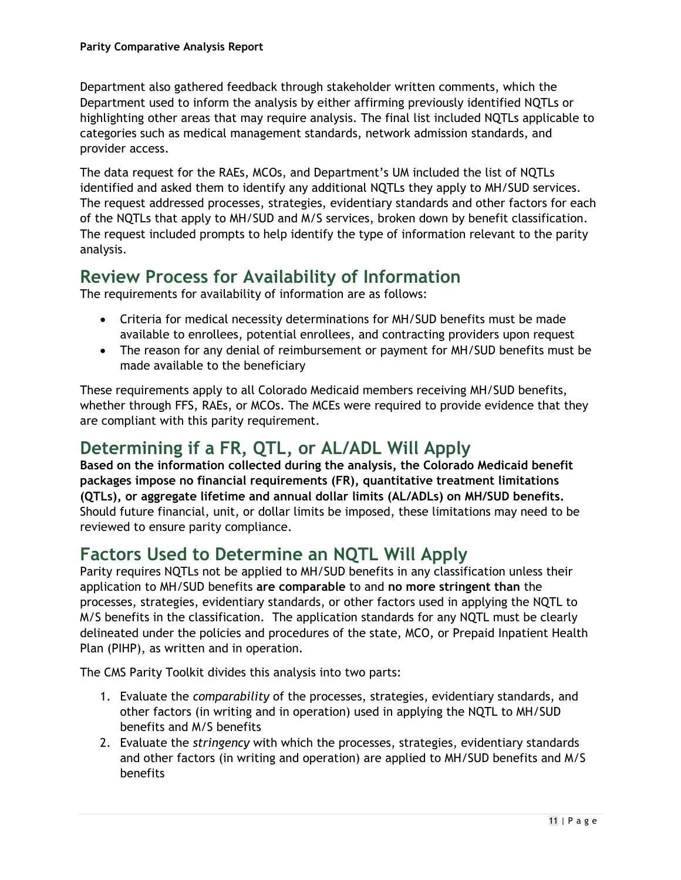Department also gathered feedback through stakeholder written comments, which the Department used to inform the analysis by either affirming previously identified NQTLs or highlighting other areas that may require analysis. The final list included NQTLs applicable to categories such as medical management standards, network admission standards, and provider access.

The data request for the RAEs, MCOs, and Department's UM included the list of NQTLs identified and asked them to identify any additional NQTLs they apply to MH/SUD services. The request addressed processes, strategies, evidentiary standards and other factors for each of the NQTLs that apply to MH/SUD and M/S services, broken down by benefit classification. The request included prompts to help identify the type of information relevant to the parity analysis.

#### **Review Process for Availability of Information**

The requirements for availability of information are as follows:

- Criteria for medical necessity determinations for MH/SUD benefits must be made available to enrollees, potential enrollees, and contracting providers upon request
- The reason for any denial of reimbursement or payment for MH/SUD benefits must be made available to the beneficiary

These requirements apply to all Colorado Medicaid members receiving MH/SUD benefits, whether through FFS, RAEs, or MCOs. The MCEs were required to provide evidence that they are compliant with this parity requirement.

## **Determining if a FR, QTL, or AL/ADL Will Apply**

**Based on the information collected during the analysis, the Colorado Medicaid benefit packages impose no financial requirements (FR), quantitative treatment limitations (QTLs), or aggregate lifetime and annual dollar limits (AL/ADLs) on MH/SUD benefits.** Should future financial, unit, or dollar limits be imposed, these limitations may need to be reviewed to ensure parity compliance.

### **Factors Used to Determine an NQTL Will Apply**

Parity requires NQTLs not be applied to MH/SUD benefits in any classification unless their application to MH/SUD benefits **are comparable** to and **no more stringent than** the processes, strategies, evidentiary standards, or other factors used in applying the NQTL to M/S benefits in the classification. The application standards for any NQTL must be clearly delineated under the policies and procedures of the state, MCO, or Prepaid Inpatient Health Plan (PIHP), as written and in operation.

The CMS Parity Toolkit divides this analysis into two parts:

- 1. Evaluate the *comparability* of the processes, strategies, evidentiary standards, and other factors (in writing and in operation) used in applying the NQTL to MH/SUD benefits and M/S benefits
- 2. Evaluate the *stringency* with which the processes, strategies, evidentiary standards and other factors (in writing and operation) are applied to MH/SUD benefits and M/S benefits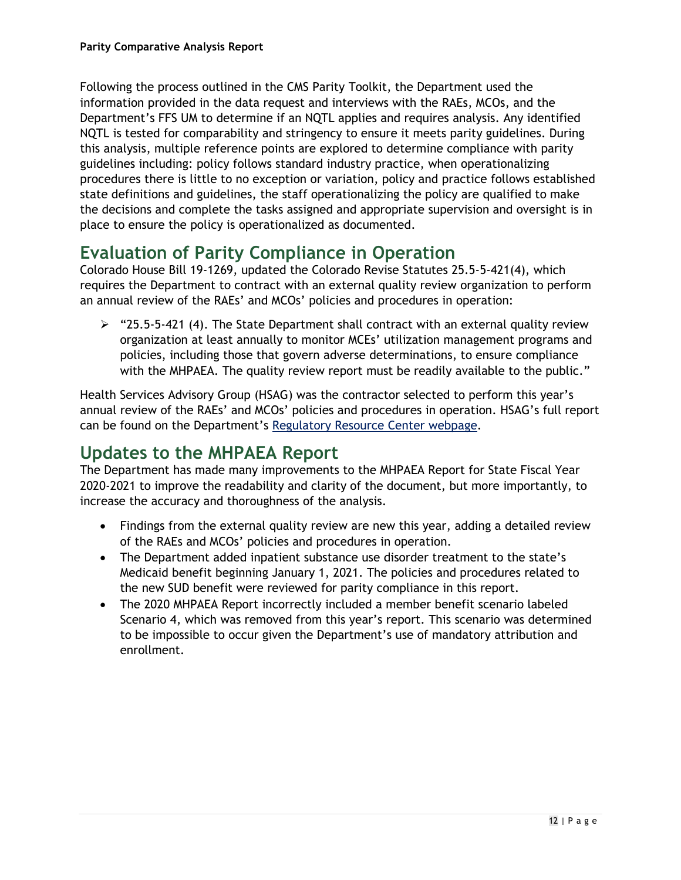Following the process outlined in the CMS Parity Toolkit, the Department used the information provided in the data request and interviews with the RAEs, MCOs, and the Department's FFS UM to determine if an NQTL applies and requires analysis. Any identified NQTL is tested for comparability and stringency to ensure it meets parity guidelines. During this analysis, multiple reference points are explored to determine compliance with parity guidelines including: policy follows standard industry practice, when operationalizing procedures there is little to no exception or variation, policy and practice follows established state definitions and guidelines, the staff operationalizing the policy are qualified to make the decisions and complete the tasks assigned and appropriate supervision and oversight is in place to ensure the policy is operationalized as documented.

### **Evaluation of Parity Compliance in Operation**

Colorado House Bill 19-1269, updated the Colorado Revise Statutes 25.5-5-421(4), which requires the Department to contract with an external quality review organization to perform an annual review of the RAEs' and MCOs' policies and procedures in operation:

 $\ge$  "25.5-5-421 (4). The State Department shall contract with an external quality review organization at least annually to monitor MCEs' utilization management programs and policies, including those that govern adverse determinations, to ensure compliance with the MHPAEA. The quality review report must be readily available to the public."

Health Services Advisory Group (HSAG) was the contractor selected to perform this year's annual review of the RAEs' and MCOs' policies and procedures in operation. HSAG's full report can be found on the Department's [Regulatory Resource Center webpage.](https://hcpf.colorado.gov/regulatory-resource-center)

## **Updates to the MHPAEA Report**

The Department has made many improvements to the MHPAEA Report for State Fiscal Year 2020-2021 to improve the readability and clarity of the document, but more importantly, to increase the accuracy and thoroughness of the analysis.

- Findings from the external quality review are new this year, adding a detailed review of the RAEs and MCOs' policies and procedures in operation.
- The Department added inpatient substance use disorder treatment to the state's Medicaid benefit beginning January 1, 2021. The policies and procedures related to the new SUD benefit were reviewed for parity compliance in this report.
- The 2020 MHPAEA Report incorrectly included a member benefit scenario labeled Scenario 4, which was removed from this year's report. This scenario was determined to be impossible to occur given the Department's use of mandatory attribution and enrollment.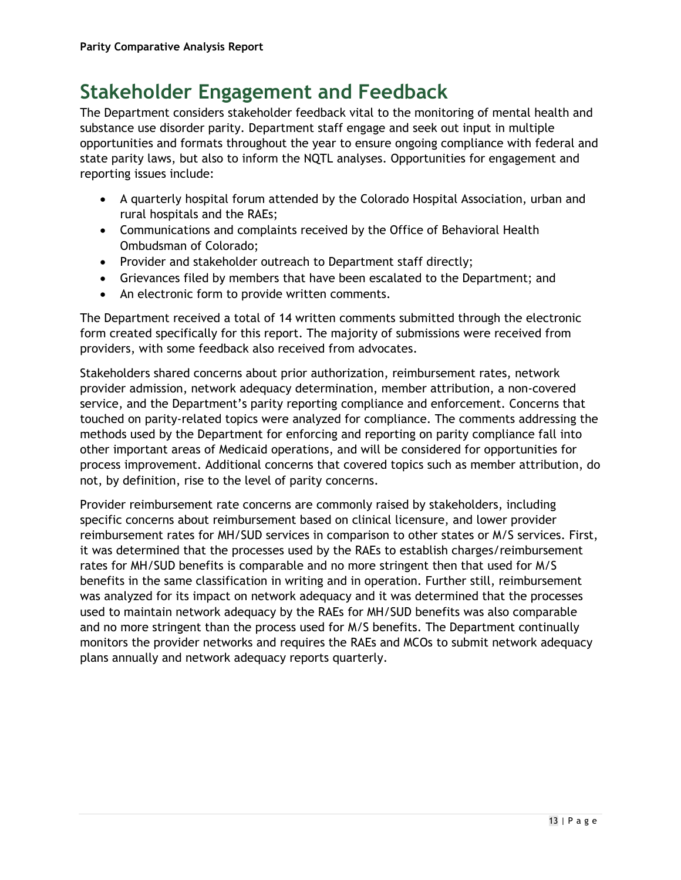# **Stakeholder Engagement and Feedback**

The Department considers stakeholder feedback vital to the monitoring of mental health and substance use disorder parity. Department staff engage and seek out input in multiple opportunities and formats throughout the year to ensure ongoing compliance with federal and state parity laws, but also to inform the NQTL analyses. Opportunities for engagement and reporting issues include:

- A quarterly hospital forum attended by the Colorado Hospital Association, urban and rural hospitals and the RAEs;
- Communications and complaints received by the Office of Behavioral Health Ombudsman of Colorado;
- Provider and stakeholder outreach to Department staff directly;
- Grievances filed by members that have been escalated to the Department; and
- An electronic form to provide written comments.

The Department received a total of 14 written comments submitted through the electronic form created specifically for this report. The majority of submissions were received from providers, with some feedback also received from advocates.

Stakeholders shared concerns about prior authorization, reimbursement rates, network provider admission, network adequacy determination, member attribution, a non-covered service, and the Department's parity reporting compliance and enforcement. Concerns that touched on parity-related topics were analyzed for compliance. The comments addressing the methods used by the Department for enforcing and reporting on parity compliance fall into other important areas of Medicaid operations, and will be considered for opportunities for process improvement. Additional concerns that covered topics such as member attribution, do not, by definition, rise to the level of parity concerns.

Provider reimbursement rate concerns are commonly raised by stakeholders, including specific concerns about reimbursement based on clinical licensure, and lower provider reimbursement rates for MH/SUD services in comparison to other states or M/S services. First, it was determined that the processes used by the RAEs to establish charges/reimbursement rates for MH/SUD benefits is comparable and no more stringent then that used for M/S benefits in the same classification in writing and in operation. Further still, reimbursement was analyzed for its impact on network adequacy and it was determined that the processes used to maintain network adequacy by the RAEs for MH/SUD benefits was also comparable and no more stringent than the process used for M/S benefits. The Department continually monitors the provider networks and requires the RAEs and MCOs to submit network adequacy plans annually and network adequacy reports quarterly.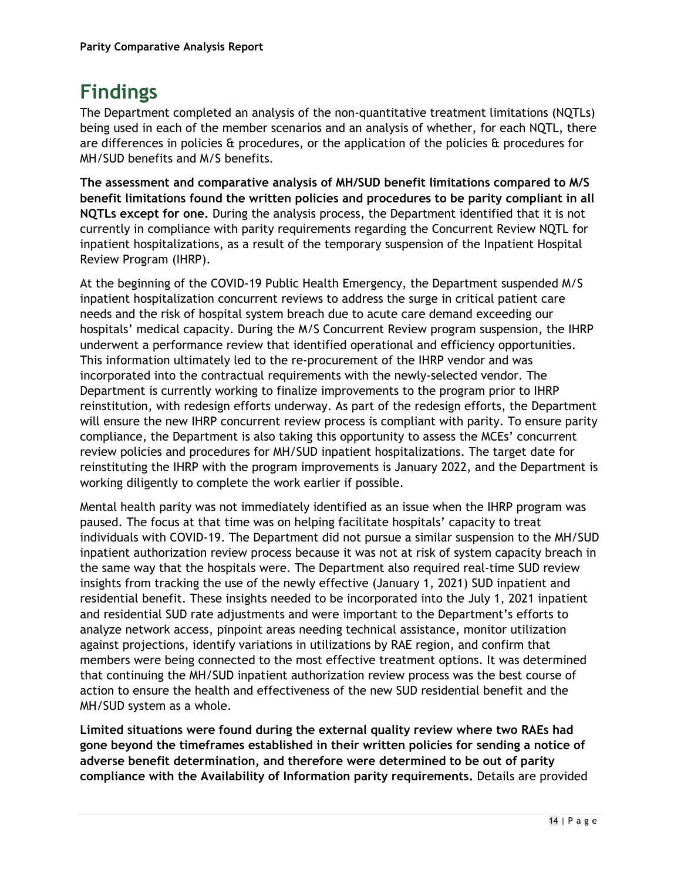# **Findings**

The Department completed an analysis of the non-quantitative treatment limitations (NQTLs) being used in each of the member scenarios and an analysis of whether, for each NQTL, there are differences in policies  $\theta$  procedures, or the application of the policies  $\theta$  procedures for MH/SUD benefits and M/S benefits.

**The assessment and comparative analysis of MH/SUD benefit limitations compared to M/S benefit limitations found the written policies and procedures to be parity compliant in all NQTLs except for one.** During the analysis process, the Department identified that it is not currently in compliance with parity requirements regarding the Concurrent Review NQTL for inpatient hospitalizations, as a result of the temporary suspension of the Inpatient Hospital Review Program (IHRP).

At the beginning of the COVID-19 Public Health Emergency, the Department suspended M/S inpatient hospitalization concurrent reviews to address the surge in critical patient care needs and the risk of hospital system breach due to acute care demand exceeding our hospitals' medical capacity. During the M/S Concurrent Review program suspension, the IHRP underwent a performance review that identified operational and efficiency opportunities. This information ultimately led to the re-procurement of the IHRP vendor and was incorporated into the contractual requirements with the newly-selected vendor. The Department is currently working to finalize improvements to the program prior to IHRP reinstitution, with redesign efforts underway. As part of the redesign efforts, the Department will ensure the new IHRP concurrent review process is compliant with parity. To ensure parity compliance, the Department is also taking this opportunity to assess the MCEs' concurrent review policies and procedures for MH/SUD inpatient hospitalizations. The target date for reinstituting the IHRP with the program improvements is January 2022, and the Department is working diligently to complete the work earlier if possible.

Mental health parity was not immediately identified as an issue when the IHRP program was paused. The focus at that time was on helping facilitate hospitals' capacity to treat individuals with COVID-19. The Department did not pursue a similar suspension to the MH/SUD inpatient authorization review process because it was not at risk of system capacity breach in the same way that the hospitals were. The Department also required real-time SUD review insights from tracking the use of the newly effective (January 1, 2021) SUD inpatient and residential benefit. These insights needed to be incorporated into the July 1, 2021 inpatient and residential SUD rate adjustments and were important to the Department's efforts to analyze network access, pinpoint areas needing technical assistance, monitor utilization against projections, identify variations in utilizations by RAE region, and confirm that members were being connected to the most effective treatment options. It was determined that continuing the MH/SUD inpatient authorization review process was the best course of action to ensure the health and effectiveness of the new SUD residential benefit and the MH/SUD system as a whole.

**Limited situations were found during the external quality review where two RAEs had gone beyond the timeframes established in their written policies for sending a notice of adverse benefit determination, and therefore were determined to be out of parity compliance with the Availability of Information parity requirements.** Details are provided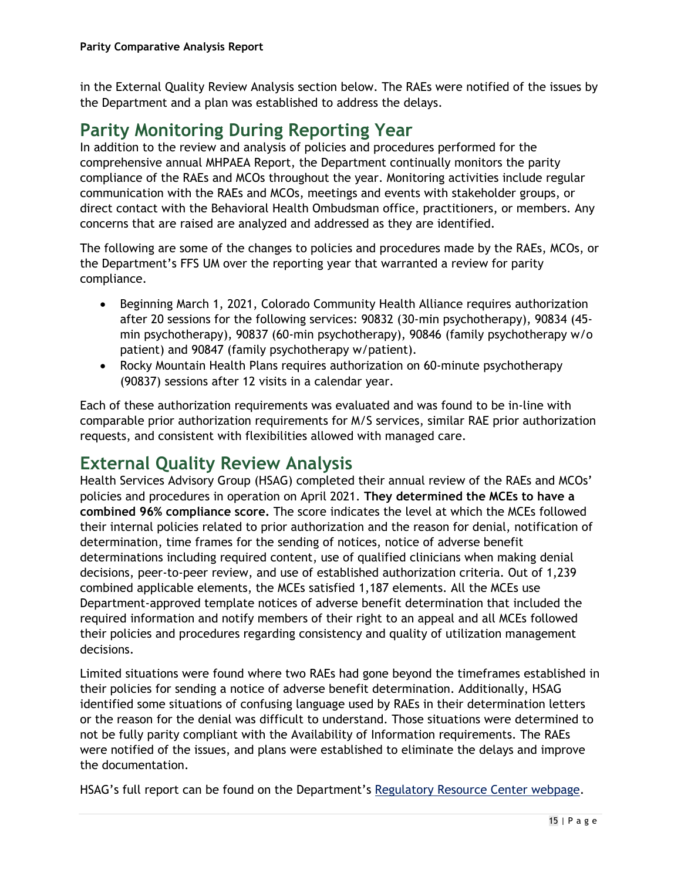in the External Quality Review Analysis section below. The RAEs were notified of the issues by the Department and a plan was established to address the delays.

### **Parity Monitoring During Reporting Year**

In addition to the review and analysis of policies and procedures performed for the comprehensive annual MHPAEA Report, the Department continually monitors the parity compliance of the RAEs and MCOs throughout the year. Monitoring activities include regular communication with the RAEs and MCOs, meetings and events with stakeholder groups, or direct contact with the Behavioral Health Ombudsman office, practitioners, or members. Any concerns that are raised are analyzed and addressed as they are identified.

The following are some of the changes to policies and procedures made by the RAEs, MCOs, or the Department's FFS UM over the reporting year that warranted a review for parity compliance.

- Beginning March 1, 2021, Colorado Community Health Alliance requires authorization after 20 sessions for the following services: 90832 (30-min psychotherapy), 90834 (45 min psychotherapy), 90837 (60-min psychotherapy), 90846 (family psychotherapy w/o patient) and 90847 (family psychotherapy w/patient).
- Rocky Mountain Health Plans requires authorization on 60-minute psychotherapy (90837) sessions after 12 visits in a calendar year.

Each of these authorization requirements was evaluated and was found to be in-line with comparable prior authorization requirements for M/S services, similar RAE prior authorization requests, and consistent with flexibilities allowed with managed care.

## **External Quality Review Analysis**

Health Services Advisory Group (HSAG) completed their annual review of the RAEs and MCOs' policies and procedures in operation on April 2021. **They determined the MCEs to have a combined 96% compliance score.** The score indicates the level at which the MCEs followed their internal policies related to prior authorization and the reason for denial, notification of determination, time frames for the sending of notices, notice of adverse benefit determinations including required content, use of qualified clinicians when making denial decisions, peer-to-peer review, and use of established authorization criteria. Out of 1,239 combined applicable elements, the MCEs satisfied 1,187 elements. All the MCEs use Department-approved template notices of adverse benefit determination that included the required information and notify members of their right to an appeal and all MCEs followed their policies and procedures regarding consistency and quality of utilization management decisions.

Limited situations were found where two RAEs had gone beyond the timeframes established in their policies for sending a notice of adverse benefit determination. Additionally, HSAG identified some situations of confusing language used by RAEs in their determination letters or the reason for the denial was difficult to understand. Those situations were determined to not be fully parity compliant with the Availability of Information requirements. The RAEs were notified of the issues, and plans were established to eliminate the delays and improve the documentation.

HSAG's full report can be found on the Department's [Regulatory Resource Center webpage.](https://hcpf.colorado.gov/regulatory-resource-center)